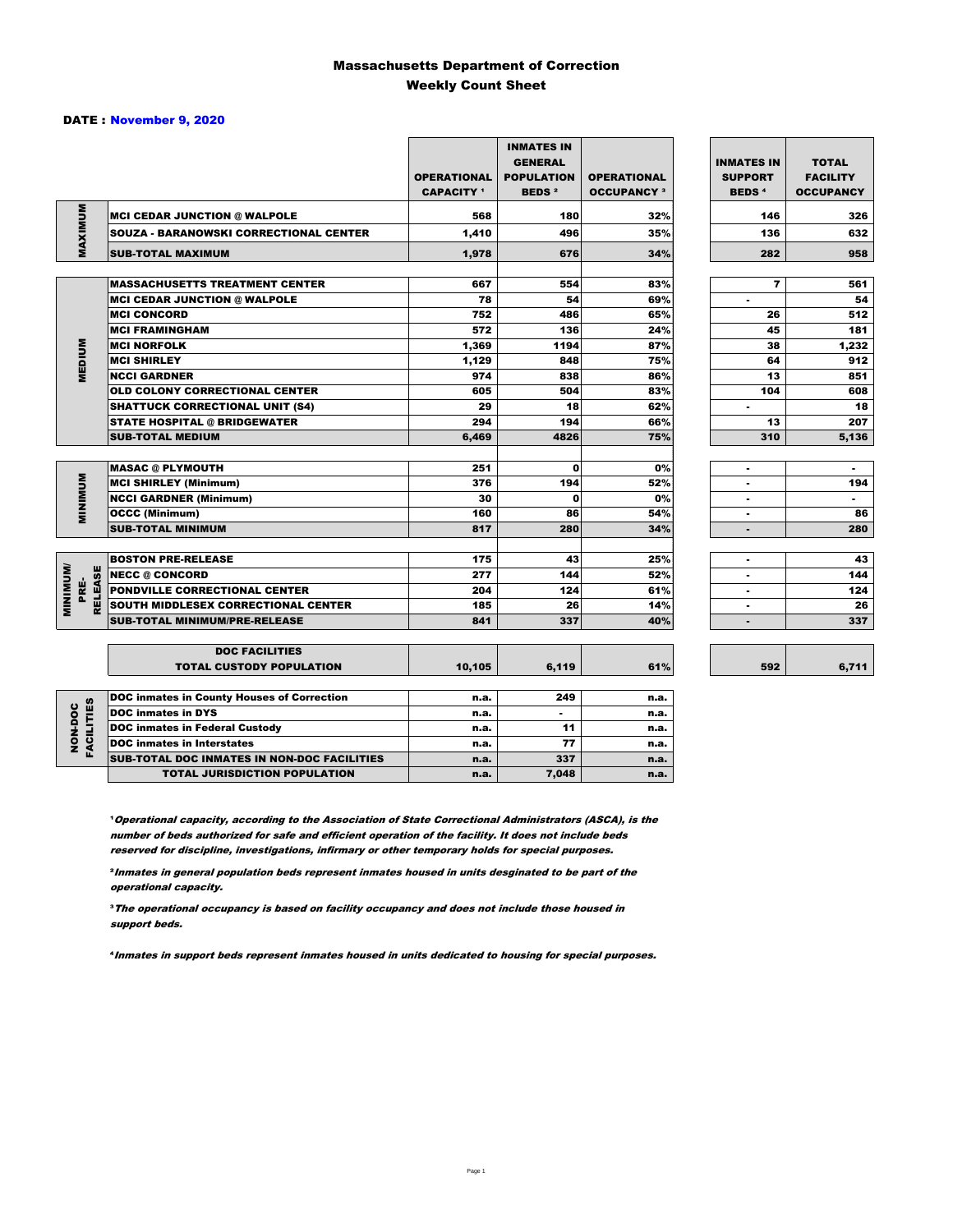#### Massachusetts Department of Correction Weekly Count Sheet

#### DATE : November 9, 2020

|                   |                                                    | <b>OPERATIONAL</b><br><b>CAPACITY</b> 1 | <b>INMATES IN</b><br><b>GENERAL</b><br><b>POPULATION</b><br><b>BEDS<sup>2</sup></b> | <b>OPERATIONAL</b><br><b>OCCUPANCY 3</b> | <b>INMATES IN</b><br><b>SUPPORT</b><br><b>BEDS<sup>4</sup></b> | <b>TOTAL</b><br><b>FACILITY</b><br><b>OCCUPANCY</b> |
|-------------------|----------------------------------------------------|-----------------------------------------|-------------------------------------------------------------------------------------|------------------------------------------|----------------------------------------------------------------|-----------------------------------------------------|
|                   | <b>MCI CEDAR JUNCTION @ WALPOLE</b>                | 568                                     | 180                                                                                 | 32%                                      | 146                                                            | 326                                                 |
|                   | <b>SOUZA - BARANOWSKI CORRECTIONAL CENTER</b>      | 1,410                                   | 496                                                                                 | 35%                                      | 136                                                            | 632                                                 |
| MAXIMUM           | <b>SUB-TOTAL MAXIMUM</b>                           | 1,978                                   | 676                                                                                 | 34%                                      | 282                                                            | 958                                                 |
|                   |                                                    |                                         |                                                                                     |                                          |                                                                |                                                     |
|                   | <b>MASSACHUSETTS TREATMENT CENTER</b>              | 667                                     | 554                                                                                 | 83%                                      | $\overline{7}$                                                 | 561                                                 |
|                   | <b>MCI CEDAR JUNCTION @ WALPOLE</b>                | 78                                      | 54                                                                                  | 69%                                      | $\overline{a}$                                                 | 54                                                  |
|                   | <b>MCI CONCORD</b>                                 | 752                                     | 486                                                                                 | 65%                                      | 26                                                             | 512                                                 |
|                   | <b>MCI FRAMINGHAM</b>                              | 572                                     | 136                                                                                 | 24%                                      | 45                                                             | 181                                                 |
|                   | <b>MCI NORFOLK</b>                                 | 1,369                                   | 1194                                                                                | 87%                                      | 38                                                             | 1,232                                               |
| MEDIUM            | <b>MCI SHIRLEY</b>                                 | 1,129                                   | 848                                                                                 | 75%                                      | 64                                                             | 912                                                 |
|                   | <b>NCCI GARDNER</b>                                | 974                                     | 838                                                                                 | 86%                                      | 13                                                             | 851                                                 |
|                   | <b>OLD COLONY CORRECTIONAL CENTER</b>              | 605                                     | 504                                                                                 | 83%                                      | 104                                                            | 608                                                 |
|                   | <b>SHATTUCK CORRECTIONAL UNIT (S4)</b>             | 29                                      | 18                                                                                  | 62%                                      | ٠                                                              | 18                                                  |
|                   | STATE HOSPITAL @ BRIDGEWATER                       | 294                                     | 194                                                                                 | 66%                                      | 13                                                             | 207                                                 |
|                   | <b>SUB-TOTAL MEDIUM</b>                            | 6,469                                   | 4826                                                                                | 75%                                      | 310                                                            | 5,136                                               |
|                   |                                                    |                                         |                                                                                     |                                          |                                                                |                                                     |
|                   | <b>MASAC @ PLYMOUTH</b>                            | 251                                     | $\mathbf{0}$                                                                        | 0%                                       | $\blacksquare$                                                 | $\sim$                                              |
|                   | <b>MCI SHIRLEY (Minimum)</b>                       | 376                                     | 194                                                                                 | 52%                                      | ٠                                                              | 194                                                 |
|                   | <b>NCCI GARDNER (Minimum)</b>                      | 30                                      | $\mathbf 0$                                                                         | 0%                                       | ٠                                                              | ٠.                                                  |
| <b>MINIMINI</b>   | <b>OCCC (Minimum)</b>                              | 160                                     | 86                                                                                  | 54%                                      | ٠                                                              | 86                                                  |
|                   | <b>SUB-TOTAL MINIMUM</b>                           | 817                                     | 280                                                                                 | 34%                                      | $\blacksquare$                                                 | 280                                                 |
|                   |                                                    |                                         |                                                                                     |                                          |                                                                |                                                     |
|                   | <b>BOSTON PRE-RELEASE</b>                          | 175                                     | 43                                                                                  | 25%                                      | ٠                                                              | 43                                                  |
| <b>RELEASE</b>    | <b>NECC @ CONCORD</b>                              | 277                                     | 144                                                                                 | 52%                                      | ۰.                                                             | 144                                                 |
| PRE-              | <b>PONDVILLE CORRECTIONAL CENTER</b>               | 204                                     | 124                                                                                 | 61%                                      | $\overline{a}$                                                 | 124                                                 |
| <b>MINIMINI</b>   | SOUTH MIDDLESEX CORRECTIONAL CENTER                | 185                                     | 26                                                                                  | 14%                                      | ٠                                                              | 26                                                  |
|                   | <b>SUB-TOTAL MINIMUM/PRE-RELEASE</b>               | 841                                     | 337                                                                                 | 40%                                      | ٠                                                              | 337                                                 |
|                   |                                                    |                                         |                                                                                     |                                          |                                                                |                                                     |
|                   | <b>DOC FACILITIES</b>                              |                                         |                                                                                     |                                          |                                                                |                                                     |
|                   | <b>TOTAL CUSTODY POPULATION</b>                    | 10,105                                  | 6,119                                                                               | 61%                                      | 592                                                            | 6,711                                               |
|                   | <b>DOC inmates in County Houses of Correction</b>  | n.a.                                    | 249                                                                                 | n.a.                                     |                                                                |                                                     |
| <b>FACILITIES</b> | <b>DOC</b> inmates in DYS                          | n.a.                                    |                                                                                     | n.a.                                     |                                                                |                                                     |
|                   | <b>DOC inmates in Federal Custody</b>              | n.a.                                    | 11                                                                                  | n.a.                                     |                                                                |                                                     |
| NON-DOC           | <b>DOC</b> inmates in Interstates                  | n.a.                                    | 77                                                                                  | n.a.                                     |                                                                |                                                     |
|                   | <b>SUB-TOTAL DOC INMATES IN NON-DOC FACILITIES</b> | n.a.                                    | 337                                                                                 | n.a.                                     |                                                                |                                                     |

**Operational capacity, according to the Association of State Correctional Administrators (ASCA), is the** number of beds authorized for safe and efficient operation of the facility. It does not include beds reserved for discipline, investigations, infirmary or other temporary holds for special purposes.

TOTAL JURISDICTION POPULATION **n.a.** 7,048 n.a.

6,711

²Inmates in general population beds represent inmates housed in units desginated to be part of the operational capacity.

³The operational occupancy is based on facility occupancy and does not include those housed in support beds.

⁴Inmates in support beds represent inmates housed in units dedicated to housing for special purposes.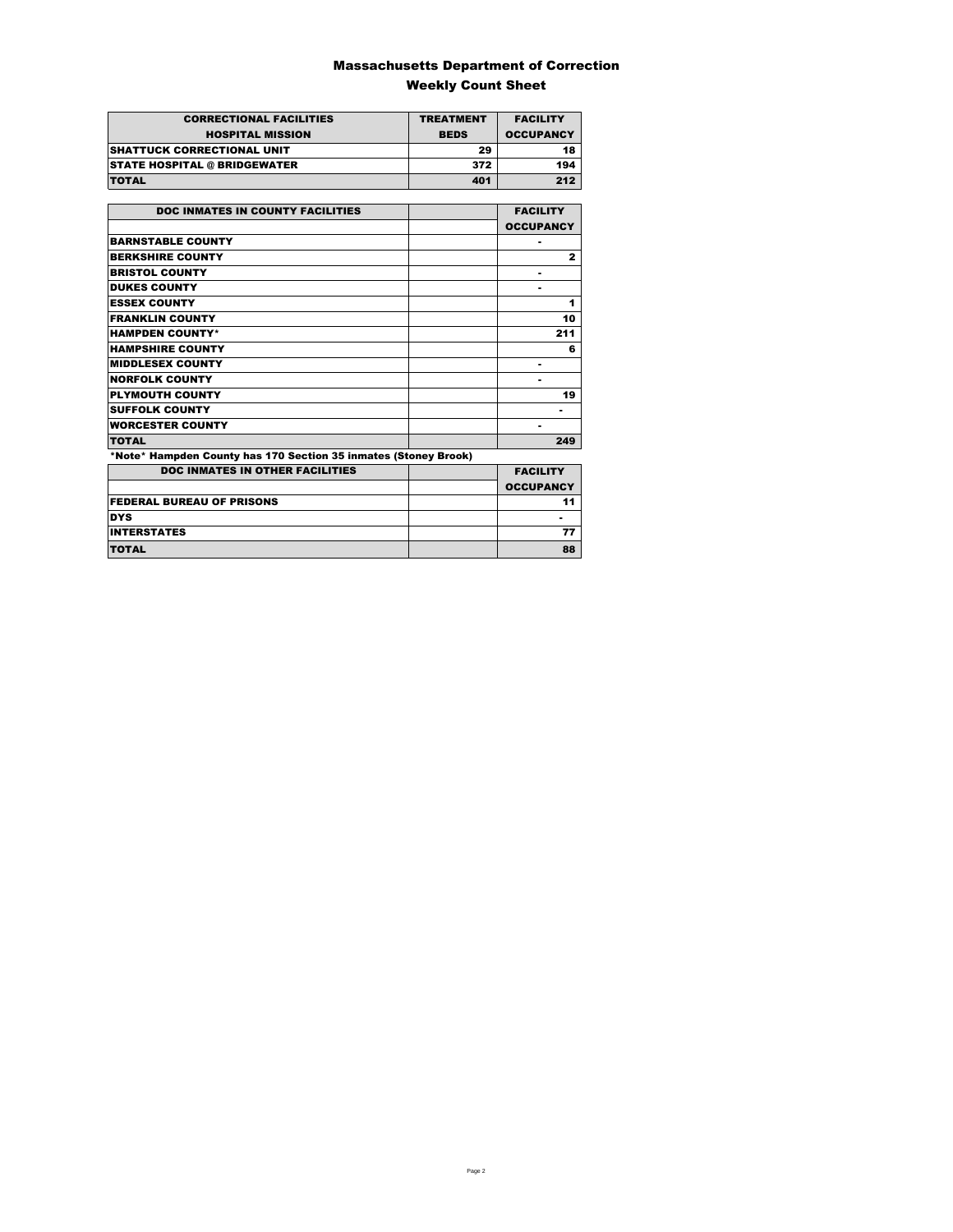### Massachusetts Department of Correction Weekly Count Sheet

| <b>CORRECTIONAL FACILITIES</b>      | <b>TREATMENT</b> | <b>FACILITY</b>  |
|-------------------------------------|------------------|------------------|
| <b>HOSPITAL MISSION</b>             | <b>BEDS</b>      | <b>OCCUPANCY</b> |
| <b>SHATTUCK CORRECTIONAL UNIT</b>   | 29               | 18               |
| <b>STATE HOSPITAL @ BRIDGEWATER</b> | 372              | 194              |
| <b>TOTAL</b>                        | 401              | 212              |

| <b>DOC INMATES IN COUNTY FACILITIES</b>                         | <b>FACILITY</b>  |
|-----------------------------------------------------------------|------------------|
|                                                                 | <b>OCCUPANCY</b> |
| <b>BARNSTABLE COUNTY</b>                                        |                  |
| <b>BERKSHIRE COUNTY</b>                                         | $\mathbf{2}$     |
| <b>BRISTOL COUNTY</b>                                           |                  |
| <b>DUKES COUNTY</b>                                             |                  |
| <b>ESSEX COUNTY</b>                                             | 1                |
| <b>FRANKLIN COUNTY</b>                                          | 10               |
| <b>HAMPDEN COUNTY*</b>                                          | 211              |
| <b>HAMPSHIRE COUNTY</b>                                         | 6                |
| <b>MIDDLESEX COUNTY</b>                                         |                  |
| <b>NORFOLK COUNTY</b>                                           |                  |
| <b>PLYMOUTH COUNTY</b>                                          | 19               |
| <b>SUFFOLK COUNTY</b>                                           |                  |
| <b>WORCESTER COUNTY</b>                                         |                  |
| <b>TOTAL</b>                                                    | 249              |
| *Note* Hampden County has 170 Section 35 inmates (Stoney Brook) |                  |
| <b>DOC INMATES IN OTHER FACILITIES</b>                          | <b>FACILITY</b>  |
|                                                                 | <b>OCCUPANCY</b> |
| <b>FEDERAL BUREAU OF PRISONS</b>                                | 11               |
| <b>DYS</b>                                                      |                  |
| <b>INTERSTATES</b>                                              | 77               |
| <b>TOTAL</b>                                                    | 88               |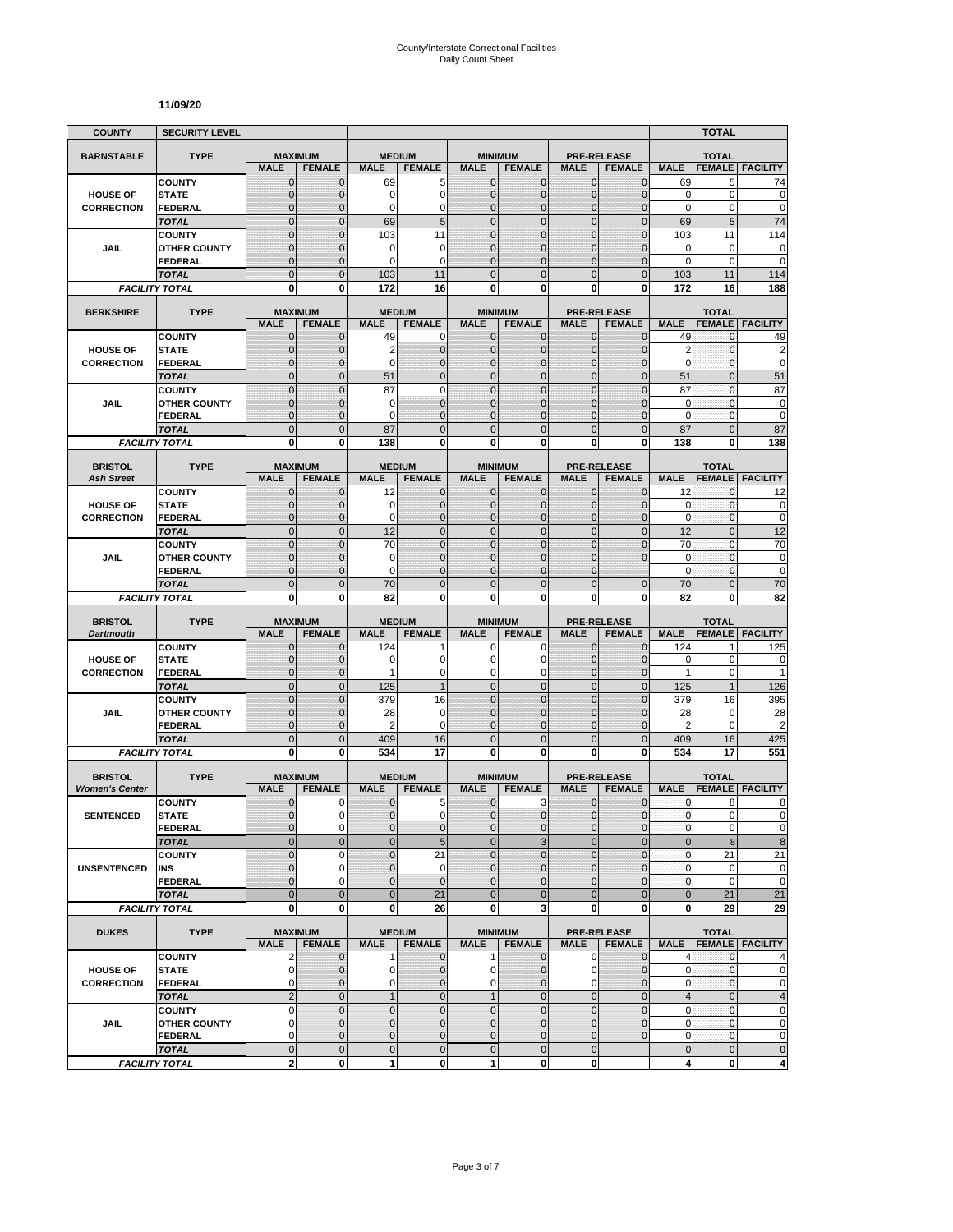#### **11/09/20**

| <b>COUNTY</b>                           | <b>SECURITY LEVEL</b>                |                                  |                              |                              |                                |                                |                                  |                                |                                     |                           | <b>TOTAL</b>                   |                          |
|-----------------------------------------|--------------------------------------|----------------------------------|------------------------------|------------------------------|--------------------------------|--------------------------------|----------------------------------|--------------------------------|-------------------------------------|---------------------------|--------------------------------|--------------------------|
| <b>BARNSTABLE</b>                       | <b>TYPE</b>                          | <b>MAXIMUM</b>                   |                              | <b>MEDIUM</b>                |                                |                                | <b>MINIMUM</b>                   |                                | <b>PRE-RELEASE</b>                  |                           | <b>TOTAL</b>                   |                          |
|                                         |                                      | <b>MALE</b>                      | <b>FEMALE</b>                | <b>MALE</b>                  | <b>FEMALE</b>                  | <b>MALE</b>                    | <b>FEMALE</b>                    | <b>MALE</b>                    | <b>FEMALE</b>                       | <b>MALE</b>               | <b>FEMALE</b>                  | <b>FACILITY</b>          |
|                                         | <b>COUNTY</b>                        | $\mathbf 0$                      | $\mathbf{0}$                 | 69                           | 5                              | $\mathbf{0}$                   | 0                                | $\mathbf{0}$                   | $\overline{0}$                      | 69                        | 5                              | 74                       |
| <b>HOUSE OF</b>                         | <b>STATE</b>                         | 0                                | $\mathbf{0}$                 | 0                            | $\mathbf 0$                    | $\mathbf{0}$                   | 0                                | $\mathbf{0}$                   | $\overline{0}$                      | 0                         | 0                              | $\mathbf 0$              |
| <b>CORRECTION</b>                       | <b>FEDERAL</b><br><b>TOTAL</b>       | $\overline{0}$<br>$\mathbf 0$    | $\Omega$<br>$\mathbf{0}$     | 0<br>69                      | 0<br>5                         | $\mathbf{0}$<br>$\mathbf{0}$   | $\overline{0}$<br>$\mathbf 0$    | $\Omega$<br>$\mathbf{0}$       | $\overline{0}$<br>$\overline{0}$    | $\mathbf 0$<br>69         | 0<br>5                         | $\mathbf 0$<br>74        |
|                                         | <b>COUNTY</b>                        | $\mathbf 0$                      | $\mathbf{0}$                 | 103                          | 11                             | $\mathbf{0}$                   | $\mathbf 0$                      | $\mathbf 0$                    | $\mathbf 0$                         | 103                       | 11                             | 114                      |
| JAIL                                    | <b>OTHER COUNTY</b>                  | $\overline{0}$                   | $\Omega$                     | 0                            | 0                              | $\Omega$                       | $\overline{0}$                   | $\Omega$                       | $\overline{0}$                      | 0                         | 0                              | 0                        |
|                                         | <b>FEDERAL</b>                       | 0                                | $\mathbf{0}$                 | 0                            | 0                              | $\mathbf{0}$                   | 0                                | $\mathbf 0$                    | $\mathbf 0$                         | 0                         | $\pmb{0}$                      | $\mathbf 0$              |
|                                         | <b>TOTAL</b>                         | $\overline{0}$                   | $\overline{0}$               | 103                          | 11                             | $\overline{0}$                 | $\overline{0}$                   | $\Omega$                       | $\mathbf 0$                         | 103                       | 11                             | 114                      |
|                                         | <b>FACILITY TOTAL</b>                | $\mathbf 0$                      | $\mathbf{0}$                 | 172                          | 16                             | $\mathbf{0}$                   | $\bf{0}$                         | 0                              | $\mathbf{0}$                        | 172                       | 16                             | 188                      |
| <b>BERKSHIRE</b>                        | <b>TYPE</b>                          | <b>MAXIMUM</b>                   |                              | <b>MEDIUM</b>                |                                |                                | <b>MINIMUM</b>                   |                                | <b>PRE-RELEASE</b>                  |                           | <b>TOTAL</b>                   |                          |
|                                         |                                      | <b>MALE</b>                      | <b>FEMALE</b>                | <b>MALE</b>                  | <b>FEMALE</b>                  | <b>MALE</b>                    | <b>FEMALE</b>                    | <b>MALE</b>                    | <b>FEMALE</b>                       | <b>MALE</b>               | <b>FEMALE</b>                  | <b>FACILITY</b>          |
|                                         | <b>COUNTY</b>                        | 0                                | $\mathbf 0$                  | 49                           | $\mathbf 0$                    | $\mathbf{0}$                   | $\mathbf{0}$                     | $\mathbf{0}$                   | $\mathbf{0}$                        | 49                        | 0                              | 49                       |
| <b>HOUSE OF</b>                         | <b>STATE</b>                         | $\mathbf 0$                      | $\mathbf{0}$                 | $\overline{2}$               | $\mathbf 0$                    | $\mathbf{0}$                   | $\mathbf 0$                      | $\mathbf{0}$                   | $\mathbf 0$                         | $\overline{2}$            | $\mathbf{0}$                   | $\overline{c}$           |
| <b>CORRECTION</b>                       | <b>FEDERAL</b>                       | $\mathbf{0}$<br>$\overline{0}$   | $\mathbf{0}$<br>$\mathbf{0}$ | 0                            | $\mathbf{0}$<br>$\overline{0}$ | $\mathbf{0}$<br>$\Omega$       | $\mathbf{0}$<br>$\overline{0}$   | $\mathbf{0}$<br>$\overline{0}$ | $\mathbf 0$<br>$\overline{0}$       | $\mathbf 0$               | $\mathbf{0}$<br>$\overline{0}$ | $\mathbf 0$<br>51        |
|                                         | <b>TOTAL</b><br><b>COUNTY</b>        | $\overline{0}$                   | $\Omega$                     | 51<br>87                     | $\overline{0}$                 | $\overline{0}$                 | $\overline{0}$                   | $\overline{0}$                 | $\overline{0}$                      | 51<br>87                  | $\mathbf 0$                    | 87                       |
| <b>JAIL</b>                             | <b>OTHER COUNTY</b>                  | $\mathbf 0$                      | $\mathbf{0}$                 | 0                            | $\overline{0}$                 | $\mathbf{0}$                   | $\mathbf 0$                      | $\mathbf 0$                    | $\overline{0}$                      | 0                         | 0                              | 0                        |
|                                         | <b>FEDERAL</b>                       | $\mathbf 0$                      | $\mathbf{0}$                 | 0                            | $\overline{0}$                 | $\mathbf{0}$                   | $\mathbf 0$                      | $\mathbf 0$                    | $\mathbf 0$                         | $\mathbf 0$               | $\mathbf{0}$                   | $\mathbf 0$              |
|                                         | <b>TOTAL</b>                         | $\mathbf 0$                      | $\mathbf{0}$                 | 87                           | $\mathbf 0$                    | $\overline{0}$                 | $\mathbf 0$                      | $\mathbf{0}$                   | $\mathbf 0$                         | 87                        | $\mathbf{0}$                   | 87                       |
|                                         | <b>FACILITY TOTAL</b>                | $\mathbf{0}$                     | $\bf{0}$                     | 138                          | $\mathbf{0}$                   | 0                              | $\mathbf 0$                      | $\mathbf{0}$                   | $\mathbf{0}$                        | 138                       | 0                              | 138                      |
| <b>BRISTOL</b>                          | <b>TYPE</b>                          | <b>MAXIMUM</b>                   |                              | <b>MEDIUM</b>                |                                |                                | <b>MINIMUM</b>                   |                                | <b>PRE-RELEASE</b>                  |                           | <b>TOTAL</b>                   |                          |
| <b>Ash Street</b>                       |                                      | <b>MALE</b>                      | <b>FEMALE</b>                | <b>MALE</b>                  | <b>FEMALE</b>                  | <b>MALE</b>                    | <b>FEMALE</b>                    | <b>MALE</b>                    | <b>FEMALE</b>                       | <b>MALE</b>               | <b>FEMALE</b>                  | <b>FACILITY</b>          |
|                                         | <b>COUNTY</b>                        | $\mathbf 0$                      | $\mathbf 0$                  | 12                           | $\mathbf 0$                    | $\mathbf{0}$                   | $\mathbf{0}$                     | $\mathbf{0}$                   | $\overline{0}$                      | 12                        | 0                              | 12                       |
| <b>HOUSE OF</b>                         | <b>STATE</b>                         | 0                                | $\mathbf{0}$                 | 0                            | $\mathbf 0$                    | $\Omega$                       | 0                                | $\mathbf{0}$                   | $\mathbf{0}$                        | $\mathbf 0$               | 0                              | $\bf{0}$                 |
| <b>CORRECTION</b>                       | <b>FEDERAL</b>                       | $\overline{0}$                   | $\mathbf{0}$                 | 0                            | $\mathbf 0$                    | $\mathbf{0}$                   | $\mathbf 0$                      | $\mathbf{0}$                   | $\mathbf 0$                         | $\mathbf 0$               | $\mathbf{0}$                   | $\mathbf 0$              |
|                                         | <b>TOTAL</b>                         | $\mathbf 0$                      | $\mathbf{0}$                 | 12                           | $\mathbf 0$<br>$\Omega$        | $\mathbf{0}$<br>$\Omega$       | $\mathbf 0$                      | $\mathbf{0}$<br>$\Omega$       | $\mathbf 0$                         | 12                        | $\overline{0}$                 | 12                       |
| JAIL                                    | <b>COUNTY</b><br><b>OTHER COUNTY</b> | $\overline{0}$<br>$\overline{0}$ | $\Omega$<br>$\mathbf 0$      | 70<br>0                      | $\overline{0}$                 | $\mathbf{0}$                   | $\overline{0}$<br>$\overline{0}$ | 0                              | $\overline{0}$<br>$\overline{0}$    | 70<br>$\mathbf 0$         | $\mathbf{0}$<br>$\mathbf 0$    | 70<br>0                  |
|                                         | <b>FEDERAL</b>                       | $\mathbf 0$                      | $\mathbf{0}$                 | 0                            | $\overline{0}$                 | $\mathbf{0}$                   | 0                                | $\Omega$                       |                                     | 0                         | 0                              | $\pmb{0}$                |
|                                         | <b>TOTAL</b>                         | $\overline{0}$                   | $\overline{0}$               | 70                           | $\overline{0}$                 | $\overline{0}$                 | $\overline{0}$                   | $\Omega$                       | $\overline{0}$                      | 70                        | $\overline{0}$                 | 70                       |
|                                         | <b>FACILITY TOTAL</b>                | 0                                | 0                            | 82                           | 0                              | 0                              | 0                                | 0                              | 0                                   | 82                        | 0                              | 82                       |
| <b>BRISTOL</b>                          | <b>TYPE</b>                          | <b>MAXIMUM</b>                   |                              | <b>MEDIUM</b>                |                                |                                | <b>MINIMUM</b>                   |                                | <b>PRE-RELEASE</b>                  |                           | <b>TOTAL</b>                   |                          |
| <b>Dartmouth</b>                        |                                      | <b>MALE</b>                      | <b>FEMALE</b>                | <b>MALE</b>                  | <b>FEMALE</b>                  | <b>MALE</b>                    | <b>FEMALE</b>                    | <b>MALE</b>                    | <b>FEMALE</b>                       | <b>MALE</b>               | <b>FEMALE</b>                  | <b>FACILITY</b>          |
|                                         | <b>COUNTY</b>                        | 0                                | $\mathbf{0}$                 | 124                          | 1                              | 0                              | 0                                | $\mathbf{0}$                   | $\mathbf 0$                         | 124                       | 1                              | 125                      |
| <b>HOUSE OF</b>                         | <b>STATE</b>                         | 0                                | $\mathbf{0}$                 | 0                            | 0                              | $\mathbf 0$                    | 0                                | $\mathbf 0$                    | $\mathbf 0$                         | 0                         | 0                              | 0                        |
| <b>CORRECTION</b>                       | <b>FEDERAL</b>                       | $\overline{0}$                   | $\mathbf{0}$                 | 1                            | 0                              | $\mathbf 0$                    | 0                                | $\mathbf 0$                    | $\mathbf{0}$                        | 1                         | 0                              | 1                        |
|                                         | <b>TOTAL</b>                         | $\overline{0}$<br>$\mathbf 0$    | $\mathbf{0}$<br>$\mathbf{0}$ | 125                          | 1                              | $\overline{0}$<br>$\mathbf{0}$ | $\overline{0}$<br>$\mathbf 0$    | $\mathbf{0}$<br>$\mathbf{0}$   | $\overline{0}$<br>$\mathbf 0$       | 125                       | $\mathbf{1}$                   | 126                      |
| <b>JAIL</b>                             | <b>COUNTY</b><br><b>OTHER COUNTY</b> | $\overline{0}$                   | $\Omega$                     | 379<br>28                    | 16<br>$\mathbf 0$              | $\Omega$                       | $\overline{0}$                   | $\Omega$                       | $\Omega$                            | 379<br>28                 | 16<br>0                        | 395<br>28                |
|                                         | <b>FEDERAL</b>                       | $\mathbf 0$                      | $\mathbf{0}$                 | $\overline{2}$               | 0                              | $\mathbf{0}$                   | $\mathbf 0$                      | $\mathbf 0$                    | $\overline{0}$                      | $\overline{2}$            | $\mathbf 0$                    | $\overline{2}$           |
|                                         | <b>TOTAL</b>                         | $\mathbf 0$                      | $\overline{0}$               | 409                          | 16                             | $\mathbf{0}$                   | $\mathbf 0$                      | $\overline{0}$                 | $\mathbf 0$                         | 409                       | 16                             | 425                      |
|                                         | <b>FACILITY TOTAL</b>                | 0                                | $\mathbf{0}$                 | 534                          | 17                             | $\mathbf{0}$                   | 0                                | 0                              | 0                                   | 534                       | 17                             | 551                      |
|                                         | <b>TYPE</b>                          |                                  |                              |                              |                                |                                |                                  |                                |                                     |                           | <b>TOTAL</b>                   |                          |
| <b>BRISTOL</b><br><b>Women's Center</b> |                                      | <b>MAXIMUM</b><br><b>MALE</b>    | <b>FEMALE</b>                | <b>MEDIUM</b><br><b>MALE</b> | <b>FEMALE</b>                  | <b>MALE</b>                    | <b>MINIMUM</b><br><b>FEMALE</b>  | <b>MALE</b>                    | <b>PRE-RELEASE</b><br><b>FEMALE</b> | <b>MALE</b>               | <b>FEMALE</b>                  | <b>FACILITY</b>          |
|                                         | <b>COUNTY</b>                        | 0                                | 0                            | $\mathbf 0$                  | 5                              | $\mathbf 0$                    | 3                                | $\mathbf{0}$                   | $\mathbf{0}$                        | $\mathbf{0}$              | 8                              | 8                        |
| <b>SENTENCED</b>                        | <b>STATE</b>                         | $\Omega$                         | $\Omega$                     | $\Omega$                     | $\Omega$                       | $\Omega$                       | $\Omega$                         | $\Omega$                       | $\Omega$                            | $\mathbf{0}$              | $\overline{0}$                 | $\Omega$                 |
|                                         | <b>FEDERAL</b>                       | $\mathbf 0$                      | $\mathbf 0$                  | 0                            | $\mathbf 0$                    | $\mathbf 0$                    | $\mathbf 0$                      | $\mathbf 0$                    | $\mathbf 0$                         | $\pmb{0}$                 | 0                              | $\pmb{0}$                |
|                                         | <b>TOTAL</b>                         | $\mathbf 0$                      | $\mathbf{0}$                 | $\mathbf 0$                  | 5                              | $\mathbf 0$                    | 3                                | $\mathbf{0}$                   | $\overline{0}$                      | $\mathbf 0$               | 8                              | $\bf 8$                  |
| <b>UNSENTENCED</b>                      | <b>COUNTY</b><br>INS                 | $\mathbf 0$<br>0                 | 0<br>$\mathbf 0$             | 0<br>$\mathbf 0$             | 21<br>$\mathbf 0$              | $\mathbf{0}$<br>$\mathbf{0}$   | $\mathbf 0$<br>$\overline{0}$    | $\mathbf 0$<br>$\mathbf{0}$    | $\mathbf 0$<br>$\mathbf{0}$         | $\pmb{0}$<br>$\mathbf{0}$ | 21<br>0                        | 21<br>$\pmb{0}$          |
|                                         | <b>FEDERAL</b>                       | $\mathbf 0$                      | $\mathbf 0$                  | $\mathbf 0$                  | $\overline{0}$                 | $\mathbf{0}$                   | $\overline{0}$                   | $\mathbf{0}$                   | $\mathbf 0$                         | $\pmb{0}$                 | 0                              | $\mathbf 0$              |
|                                         | <b>TOTAL</b>                         | $\overline{0}$                   | $\mathbf{0}$                 | $\mathbf 0$                  | 21                             | $\overline{0}$                 | $\mathbf{0}$                     | $\mathbf{0}$                   | $\mathbf 0$                         | $\mathbf 0$               | 21                             | 21                       |
|                                         | <b>FACILITY TOTAL</b>                | $\mathbf{0}$                     | $\bf{0}$                     | 0                            | 26                             | 0                              | 3                                | $\mathbf{0}$                   | 0                                   | 0                         | 29                             | 29                       |
|                                         |                                      |                                  |                              |                              |                                |                                |                                  |                                |                                     |                           |                                |                          |
| <b>DUKES</b>                            | <b>TYPE</b>                          | <b>MAXIMUM</b><br><b>MALE</b>    | <b>FEMALE</b>                | <b>MEDIUM</b><br><b>MALE</b> | <b>FEMALE</b>                  | <b>MALE</b>                    | <b>MINIMUM</b><br><b>FEMALE</b>  | <b>MALE</b>                    | <b>PRE-RELEASE</b><br><b>FEMALE</b> | <b>MALE</b>               | <b>TOTAL</b>                   | <b>FEMALE FACILITY</b>   |
|                                         | <b>COUNTY</b>                        | 2                                | $\mathbf{0}$                 | $\mathbf{1}$                 | $\mathbf 0$                    | $\mathbf{1}$                   | $\mathbf{0}$                     | $\mathbf 0$                    | $\mathbf 0$                         | 4                         | 0                              | 4                        |
| <b>HOUSE OF</b>                         | <b>STATE</b>                         | $\mathbf 0$                      | $\mathbf 0$                  | 0                            | $\mathbf 0$                    | $\mathbf{0}$                   | 0                                | 0                              | $\mathbf 0$                         | 0                         | $\mathbf 0$                    | $\mathbf 0$              |
| <b>CORRECTION</b>                       | <b>FEDERAL</b>                       | 0                                | $\mathbf 0$                  | 0                            | 0                              | $\mathbf{0}$                   | 0                                | $\Omega$                       | $\overline{0}$                      | 0                         | 0                              | $\mathbf 0$              |
|                                         | <b>TOTAL</b>                         | $\mathbf 2$                      | $\mathbf{0}$                 | $\mathbf{1}$                 | $\mathbf 0$                    | 1                              | $\mathbf 0$                      | $\mathbf{0}$                   | $\overline{0}$                      | $\overline{4}$            | $\mathbf 0$                    | $\sqrt{4}$               |
| <b>JAIL</b>                             | <b>COUNTY</b><br><b>OTHER COUNTY</b> | $\pmb{0}$<br>0                   | $\mathbf 0$<br>$\mathbf{0}$  | $\mathbf 0$<br>$\mathbf{0}$  | $\mathbf 0$<br>$\overline{0}$  | $\mathbf 0$<br>$\mathbf{0}$    | $\mathbf 0$<br>$\mathbf{0}$      | $\mathbf 0$<br>$\mathbf{0}$    | $\mathbf 0$<br>$\mathbf{0}$         | $\pmb{0}$<br>$\mathbf 0$  | $\mathbf 0$<br>$\mathbf 0$     | $\mathbf 0$<br>$\pmb{0}$ |
|                                         | <b>FEDERAL</b>                       | 0                                | $\mathbf{0}$                 | $\pmb{0}$                    | $\mathbf 0$                    | $\mathbf{0}$                   | 0                                | $\mathbf{0}$                   | $\mathbf 0$                         | $\pmb{0}$                 | $\mathbf 0$                    | $\mathbf 0$              |
|                                         | <b>TOTAL</b>                         | $\mathbf 0$                      | $\mathbf{0}$                 | $\pmb{0}$                    | $\mathbf 0$                    | $\mathbf 0$                    | $\mathbf 0$                      | $\mathbf{0}$                   |                                     | $\mathbf 0$               | $\mathbf 0$                    | $\pmb{0}$                |
|                                         | <b>FACILITY TOTAL</b>                | $\overline{\mathbf{2}}$          | $\mathbf{0}$                 | 1                            | 0                              | $\mathbf{1}$                   | 0                                | $\mathbf{0}$                   |                                     | 4                         | $\pmb{0}$                      | 4                        |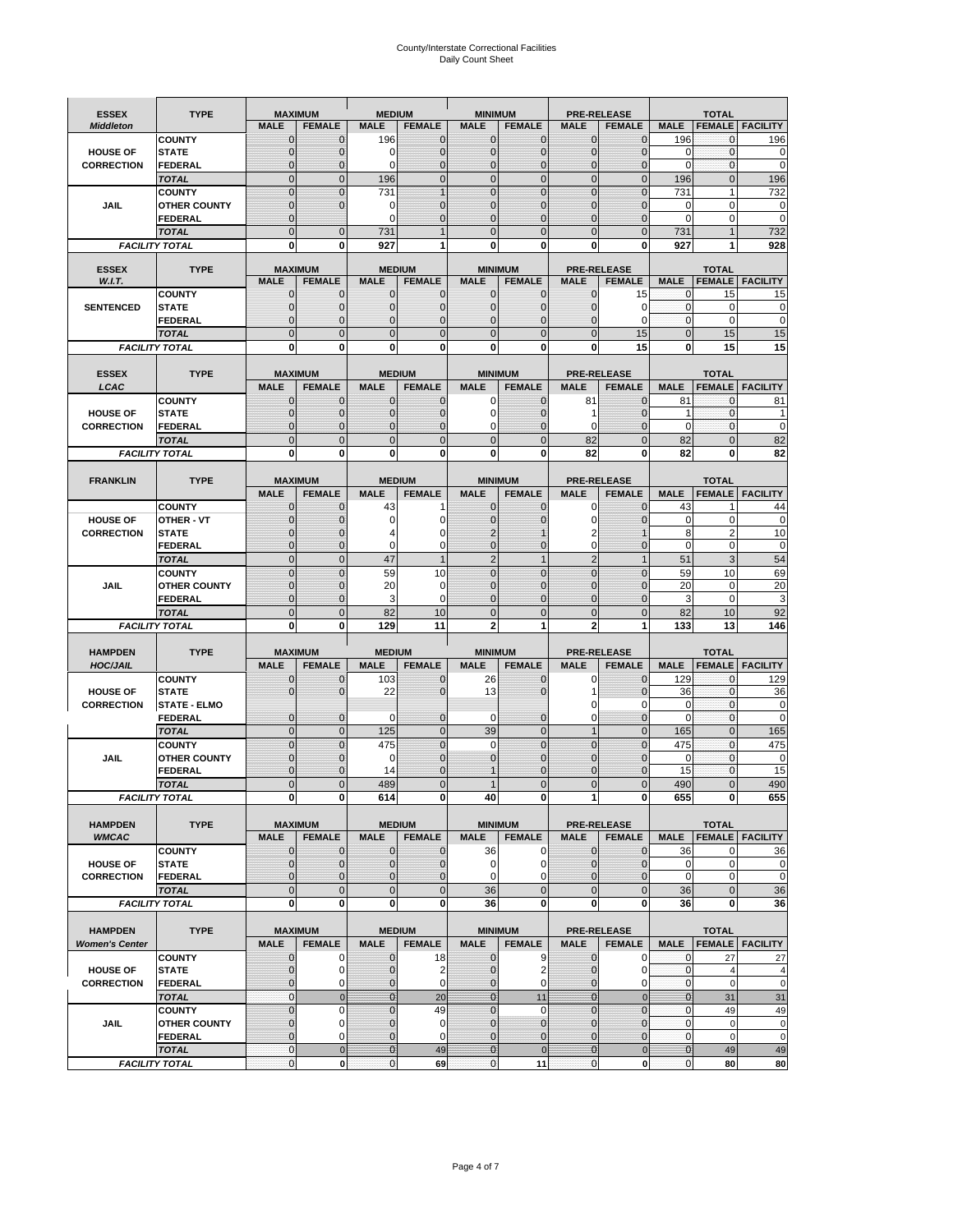# County/Interstate Correctional Facilities Daily Count Sheet

| <b>ESSEX</b>                         | <b>TYPE</b>                           |                                  | <b>MAXIMUM</b>                | <b>MEDIUM</b>                    |                               | <b>MINIMUM</b>                |                              |                               | <b>PRE-RELEASE</b>            |                              | <b>TOTAL</b>                  |                        |
|--------------------------------------|---------------------------------------|----------------------------------|-------------------------------|----------------------------------|-------------------------------|-------------------------------|------------------------------|-------------------------------|-------------------------------|------------------------------|-------------------------------|------------------------|
| <b>Middleton</b>                     |                                       | <b>MALE</b>                      | <b>FEMALE</b>                 | <b>MALE</b>                      | <b>FEMALE</b>                 | <b>MALE</b>                   | <b>FEMALE</b>                | <b>MALE</b>                   | <b>FEMALE</b>                 | <b>MALE</b>                  |                               | <b>FEMALE FACILITY</b> |
|                                      | <b>COUNTY</b>                         | 0                                | $\mathbf 0$                   | 196                              | 0                             | $\mathbf{0}$                  | $\mathbf{0}$                 | $\mathbf{0}$                  | $\Omega$                      | 196                          | 0                             | 196                    |
| <b>HOUSE OF</b>                      | <b>STATE</b>                          | 0                                | $\mathbf 0$                   | 0                                | 0                             | $\mathbf 0$                   | $\mathbf{0}$                 | $\mathbf{0}$                  | $\Omega$                      | $\Omega$                     | $\mathbf{0}$                  | 0                      |
| <b>CORRECTION</b>                    | <b>FEDERAL</b>                        | $\Omega$<br>$\mathbf 0$          | $\mathbf 0$<br>$\overline{0}$ | $\Omega$                         | $\overline{0}$<br>$\mathbf 0$ | $\mathbf{0}$<br>$\mathbf{0}$  | $\mathbf{0}$<br>$\mathbf{0}$ | $\mathbf{0}$<br>$\mathbf 0$   | $\Omega$<br>$\mathbf{0}$      | $\Omega$                     | $\mathbf{0}$<br>$\mathbf{0}$  | $\mathbf 0$<br>196     |
|                                      | <b>TOTAL</b><br><b>COUNTY</b>         | $\mathbf 0$                      | $\mathbf{0}$                  | 196<br>731                       | $\overline{1}$                | $\mathbf{0}$                  | $\mathbf 0$                  | $\mathbf{0}$                  | $\overline{0}$                | 196<br>731                   | $\mathbf{1}$                  | 732                    |
| JAIL                                 | <b>OTHER COUNTY</b>                   | $\mathbf{0}$                     | $\mathbf 0$                   | 0                                | 0                             | $\mathbf{0}$                  | $\Omega$                     | $\mathbf{0}$                  | ſ                             | $\Omega$                     | $\Omega$                      | 0                      |
|                                      | <b>FEDERAL</b>                        | $\mathbf{0}$                     |                               | $\Omega$                         | 0                             | $\mathbf 0$                   | $\mathbf 0$                  | $\mathbf{0}$                  | $\mathbf 0$                   | $\mathbf 0$                  | 0                             | $\mathbf 0$            |
|                                      | <b>TOTAL</b>                          | $\Omega$                         | $\mathbf 0$                   | 731                              | 1                             | $\mathbf{0}$                  | $\Omega$                     | $\overline{0}$                | $\Omega$                      | 731                          |                               | 732                    |
|                                      | <b>FACILITY TOTAL</b>                 | 0                                | 0                             | 927                              | 1                             | $\bf{0}$                      | 0                            | 0                             | 0                             | 927                          |                               | 928                    |
| <b>ESSEX</b>                         | <b>TYPE</b>                           |                                  | <b>MAXIMUM</b>                |                                  | <b>MEDIUM</b>                 |                               | <b>MINIMUM</b>               |                               | <b>PRE-RELEASE</b>            |                              | <b>TOTAL</b>                  |                        |
| W.I.T.                               |                                       | <b>MALE</b>                      | <b>FEMALE</b>                 | <b>MALE</b>                      | <b>FEMALE</b>                 | <b>MALE</b>                   | <b>FEMALE</b>                | <b>MALE</b>                   | <b>FEMALE</b>                 | <b>MALE</b>                  | <b>FEMALE</b>                 | <b>FACILITY</b>        |
|                                      | <b>COUNTY</b>                         | $\mathbf{0}$                     | 0                             | $\mathbf 0$                      | $\mathbf{0}$                  | $\mathbf{0}$                  | $\mathbf{0}$                 | 0                             | 15                            | 0                            | 15                            | 15                     |
| <b>SENTENCED</b>                     | <b>STATE</b>                          | 0                                | $\overline{0}$                | $\mathbf{0}$                     | 0                             | $\mathbf{0}$                  | $\mathbf{0}$                 | $\mathbf 0$                   | $\mathbf 0$                   | $\mathbf 0$                  | $\mathbf 0$                   | $\mathbf 0$            |
|                                      | <b>FEDERAL</b><br><b>TOTAL</b>        | $\overline{0}$<br>$\overline{0}$ | $\mathbf 0$<br>$\overline{0}$ | $\Omega$<br>$\mathbf 0$          | 0<br>$\overline{0}$           | $\mathbf{0}$<br>$\mathbf{0}$  | $\Omega$<br>$\overline{0}$   | 0<br>$\mathbf 0$              | $\Omega$<br>15                | $\mathbf{0}$<br>$\mathbf{0}$ | $\Omega$<br>15                | $\mathbf 0$<br>15      |
|                                      | <b>FACILITY TOTAL</b>                 | $\bf{0}$                         | 0                             | $\bf{0}$                         | O                             | $\bf{0}$                      | 0                            | 0                             | 15                            | $\bf{0}$                     | 15                            | 15                     |
|                                      |                                       |                                  |                               |                                  |                               |                               |                              |                               |                               |                              |                               |                        |
| <b>ESSEX</b>                         | <b>TYPE</b>                           |                                  | <b>MAXIMUM</b>                |                                  | <b>MEDIUM</b>                 |                               | <b>MINIMUM</b>               |                               | <b>PRE-RELEASE</b>            |                              | <b>TOTAL</b>                  |                        |
| LCAC                                 |                                       | <b>MALE</b>                      | <b>FEMALE</b>                 | <b>MALE</b>                      | <b>FEMALE</b>                 | <b>MALE</b>                   | <b>FEMALE</b>                | <b>MALE</b>                   | <b>FEMALE</b>                 | <b>MALE</b>                  | <b>FEMALE</b>                 | <b>FACILITY</b>        |
|                                      | <b>COUNTY</b>                         | 0                                | $\mathbf 0$                   | $\mathbf{0}$                     | 0                             | $\mathbf 0$                   | $\mathbf{0}$                 | 81                            | $\Omega$                      | 81                           | $\mathbf 0$                   | 81                     |
| <b>HOUSE OF</b>                      | <b>STATE</b>                          | $\Omega$<br>0                    | $\mathbf 0$<br>$\overline{0}$ | $\Omega$<br>$\mathbf{0}$         | 0<br>0                        | $\Omega$<br>$\mathbf 0$       | $\Omega$<br>$\overline{0}$   | 1<br>$\mathbf 0$              | $\Omega$<br>$\mathcal{C}$     | 1<br>$\mathbf 0$             | $\Omega$<br>$\mathbf{0}$      | $\mathbf 0$            |
| <b>CORRECTION</b>                    | <b>FEDERAL</b><br><b>TOTAL</b>        | $\overline{0}$                   | $\overline{0}$                | $\overline{0}$                   | $\overline{0}$                | $\mathbf 0$                   | $\Omega$                     | 82                            | $\overline{0}$                | 82                           | $\Omega$                      | 82                     |
|                                      | <b>FACILITY TOTAL</b>                 | 0                                | 0                             | 0                                | 0                             | $\bf{0}$                      | 0                            | 82                            | 0                             | 82                           | 0                             | 82                     |
|                                      |                                       |                                  |                               |                                  |                               |                               |                              |                               |                               |                              |                               |                        |
| <b>FRANKLIN</b>                      | <b>TYPE</b>                           |                                  | <b>MAXIMUM</b>                |                                  | <b>MEDIUM</b>                 |                               | <b>MINIMUM</b>               |                               | <b>PRE-RELEASE</b>            |                              | <b>TOTAL</b>                  |                        |
|                                      |                                       | <b>MALE</b>                      | <b>FEMALE</b>                 | <b>MALE</b>                      | <b>FEMALE</b>                 | <b>MALE</b>                   | <b>FEMALE</b>                | <b>MALE</b>                   | <b>FEMALE</b>                 | <b>MALE</b>                  | <b>FEMALE</b>                 | <b>FACILITY</b>        |
|                                      | <b>COUNTY</b>                         | 0                                | 0                             | 43                               | 1                             | $\mathbf{0}$                  | 0                            | 0                             | $\Omega$                      | 43                           | $\overline{\mathbf{1}}$       | 44                     |
| <b>HOUSE OF</b><br><b>CORRECTION</b> | <b>OTHER - VT</b><br><b>STATE</b>     | 0<br>0                           | $\overline{0}$<br>$\mathbf 0$ | 0<br>4                           | 0<br>0                        | $\mathbf 0$<br>$\overline{2}$ | $\Omega$                     | $\mathbf 0$<br>2              | $\sqrt{ }$                    | $\mathbf 0$<br>8             | $\mathbf 0$<br>$\overline{2}$ | 0<br>10                |
|                                      | <b>FEDERAL</b>                        | $\mathbf{0}$                     | $\overline{0}$                | $\Omega$                         | 0                             | $\mathbf{0}$                  | $\mathbf{0}$                 | $\mathbf 0$                   | $\overline{0}$                | $\mathbf 0$                  | $\mathbf 0$                   | $\mathbf 0$            |
|                                      | <b>TOTAL</b>                          | $\mathbf 0$                      | $\mathbf{0}$                  | 47                               | $\overline{1}$                | $\overline{2}$                | $\mathbf{1}$                 | $\overline{2}$                | 1                             | 51                           | 3                             | 54                     |
|                                      | <b>COUNTY</b>                         | $\mathbf 0$                      | $\mathbf 0$                   | 59                               | 10                            | $\mathbf 0$                   | $\mathbf 0$                  | $\mathbf{0}$                  | $\overline{0}$                | 59                           | 10                            | 69                     |
| <b>JAIL</b>                          | <b>OTHER COUNTY</b>                   | $\overline{0}$                   | $\mathbf 0$                   | 20                               | 0                             | $\Omega$                      | $\Omega$                     | $\mathbf 0$                   | $\sqrt{ }$                    | 20                           | $\Omega$                      | 20                     |
|                                      | <b>FEDERAL</b>                        | $\overline{0}$                   | $\overline{0}$                | 3                                | 0                             | $\mathbf{0}$                  | $\overline{0}$               | $\mathbf{0}$                  | $\mathbf 0$                   | 3                            | $\mathbf 0$                   | 3                      |
|                                      | <b>TOTAL</b><br><b>FACILITY TOTAL</b> | $\mathbf 0$<br>$\mathbf 0$       | $\mathbf 0$<br>0              | 82<br>129                        | 10<br>11                      | $\mathbf 0$<br>$\overline{2}$ | $\overline{0}$<br>1          | $\mathbf 0$<br>$\overline{2}$ | $\Omega$                      | 82<br>133                    | 10<br>13                      | 92<br>146              |
|                                      |                                       |                                  |                               |                                  |                               |                               |                              |                               |                               |                              |                               |                        |
| <b>HAMPDEN</b>                       | <b>TYPE</b>                           |                                  | <b>MAXIMUM</b>                | <b>MEDIUM</b>                    |                               | <b>MINIMUM</b>                |                              |                               | <b>PRE-RELEASE</b>            |                              | <b>TOTAL</b>                  |                        |
| <b>HOC/JAIL</b>                      |                                       | <b>MALE</b>                      | <b>FEMALE</b>                 | <b>MALE</b>                      | <b>FEMALE</b>                 | <b>MALE</b>                   | <b>FEMALE</b>                | <b>MALE</b>                   | <b>FEMALE</b>                 | <b>MALE</b>                  | <b>FEMALE</b>                 | <b>FACILITY</b>        |
|                                      | <b>COUNTY</b>                         | $\mathbf{0}$                     | 0                             | 103                              | 0                             | 26                            | $\mathbf 0$                  | 0                             | $\Omega$                      | 129                          | $\mathbf 0$                   | 129                    |
| <b>HOUSE OF</b><br><b>CORRECTION</b> | <b>STATE</b><br><b>STATE - ELMO</b>   | $\Omega$                         | $\overline{0}$                | 22                               | 0                             | 13                            | $\Omega$                     | 1<br>0                        | $\Omega$<br>$\Omega$          | 36<br>0                      | $\mathbf{0}$<br>$\mathbf 0$   | 36<br>0                |
|                                      | <b>FEDERAL</b>                        | $\mathbf{0}$                     | $\mathbf 0$                   | 0                                | 0                             | 0                             | $\mathbf 0$                  | $\mathbf 0$                   | $\overline{0}$                | $\Omega$                     | $\mathbf{0}$                  | 0                      |
|                                      | <b>TOTAL</b>                          | $\mathbf{0}$                     | $\overline{0}$                | 125                              | $\overline{0}$                | 39                            | $\mathbf{0}$                 | $\mathbf{1}$                  | $\overline{0}$                | 165                          | $\mathbf{0}$                  | 165                    |
|                                      | <b>COUNTY</b>                         | $\Omega$                         | $\overline{0}$                | 475                              | $\overline{0}$                | $\Omega$                      | $\Omega$                     | $\overline{0}$                | $\Omega$                      | 475                          | $\Omega$                      | 475                    |
| JAIL                                 | <b>OTHER COUNTY</b>                   | 0                                | $\mathbf 0$                   | 0                                | 0                             | $\mathbf{0}$                  | $\Omega$                     | $\mathbf 0$                   | $\Omega$                      | $\mathbf 0$                  | $\mathbf{0}$                  | 0                      |
|                                      | <b>FEDERAL</b>                        | $\Omega$                         | $\Omega$                      | 14                               | $\Omega$                      |                               | $\Omega$                     | $\mathbf 0$                   | $\Omega$                      | 15                           | $\Omega$                      | 15                     |
|                                      | <b>TOTAL</b>                          | $\overline{0}$                   | $\sqrt{ }$                    | 489                              | $\overline{0}$                |                               | $\Omega$                     | $\overline{0}$                |                               | 490                          |                               | 490                    |
|                                      | <b>FACILITY TOTAL</b>                 | $\mathbf{0}$                     | 0                             | 614                              | 0                             | 40                            | 0                            | 1                             | 0                             | 655                          | 0                             | 655                    |
| <b>HAMPDEN</b>                       | <b>TYPE</b>                           |                                  | <b>MAXIMUM</b>                |                                  | <b>MEDIUM</b>                 |                               | <b>MINIMUM</b>               |                               | PRE-RELEASE                   |                              | <b>TOTAL</b>                  |                        |
| <b>WMCAC</b>                         |                                       | <b>MALE</b>                      | <b>FEMALE</b>                 | <b>MALE</b>                      | <b>FEMALE</b>                 | <b>MALE</b>                   | <b>FEMALE</b>                | <b>MALE</b>                   | <b>FEMALE</b>                 | <b>MALE</b>                  |                               | <b>FEMALE FACILITY</b> |
|                                      | <b>COUNTY</b>                         | 0                                | $\mathbf 0$                   | $\mathbf{0}$                     | 0                             | 36                            | 0                            | $\mathbf 0$                   | $\mathbf 0$                   | 36                           | 0                             | 36                     |
| <b>HOUSE OF</b>                      | <b>STATE</b>                          | 0                                | $\mathbf{0}$                  | $\mathbf{0}$                     | 0                             | $\pmb{0}$                     | 0                            | $\mathbf{0}$                  | $\overline{0}$                | $\mathbf 0$                  | $\mathbf 0$                   | 0                      |
| <b>CORRECTION</b>                    | <b>FEDERAL</b><br><b>TOTAL</b>        | 0<br>$\mathbf 0$                 | $\overline{0}$<br>$\mathbf 0$ | $\overline{0}$<br>$\overline{0}$ | 0<br>$\mathbf 0$              | $\mathbf 0$<br>36             | 0<br>$\mathbf 0$             | 0<br>$\mathbf 0$              | $\overline{0}$<br>$\mathbf 0$ | $\mathbf 0$<br>36            | $\mathbf 0$<br>$\mathbf 0$    | $\pmb{0}$<br>36        |
|                                      | <b>FACILITY TOTAL</b>                 | 0                                | 0                             | $\mathbf{0}$                     | 0                             | 36                            | 0                            | 0                             | $\mathbf 0$                   | 36                           | 0                             | 36                     |
|                                      |                                       |                                  |                               |                                  |                               |                               |                              |                               |                               |                              |                               |                        |
| <b>HAMPDEN</b>                       | <b>TYPE</b>                           |                                  | <b>MAXIMUM</b>                |                                  | <b>MEDIUM</b>                 |                               | <b>MINIMUM</b>               |                               | <b>PRE-RELEASE</b>            |                              | <b>TOTAL</b>                  |                        |
| <b>Women's Center</b>                |                                       | <b>MALE</b>                      | <b>FEMALE</b>                 | <b>MALE</b>                      | <b>FEMALE</b>                 | <b>MALE</b>                   | <b>FEMALE</b>                | <b>MALE</b>                   | <b>FEMALE</b>                 | <b>MALE</b>                  |                               | <b>FEMALE FACILITY</b> |
|                                      | <b>COUNTY</b>                         | 0                                | 0<br>$\mathbf 0$              | 0                                | 18                            | $\bf{0}$<br>$\mathbf{0}$      | 9                            | 0                             | 0                             | 0                            | 27                            | 27                     |
| <b>HOUSE OF</b><br><b>CORRECTION</b> | <b>STATE</b><br><b>FEDERAL</b>        | $\mathbf{0}$<br>0                | 0                             | $\mathbf 0$<br>0                 | 2<br>$\mathbf 0$              | $\mathbf 0$                   | 2<br>0                       | $\mathbf{0}$<br>$\mathbf{0}$  | 0<br>0                        | $\mathbf{0}$<br>$\mathbf 0$  | $\overline{4}$<br>$\mathbf 0$ | 4<br>$\mathbf 0$       |
|                                      | <b>TOTAL</b>                          | $\mathbf{0}$                     | $\mathbf{0}$                  | $\overline{0}$                   | 20                            | $\overline{0}$                | 11                           | $\mathbf{0}$                  | $\mathbf{0}$                  | $\overline{0}$               | 31                            | 31                     |
|                                      | <b>COUNTY</b>                         | $\mathbf 0$                      | $\mathbf 0$                   | $\Omega$                         | 49                            | $\mathbf{0}$                  | $\Omega$                     | $\overline{0}$                | $\overline{0}$                | $\mathbf 0$                  | 49                            | 49                     |
| JAIL                                 | <b>OTHER COUNTY</b>                   | $\overline{0}$                   | 0                             | $\mathbf{0}$                     | $\mathbf 0$                   | $\mathbf{0}$                  | $\mathbf{0}$                 | $\mathbf{0}$                  | $\Omega$                      | $\mathbf 0$                  | $\mathbf 0$                   | 0                      |
|                                      | FEDERAL                               | 0                                | 0                             | $\mathbf{0}$                     | 0                             | $\mathbf 0$                   | $\mathbf{0}$                 | 0                             | $\overline{0}$                | $\mathbf 0$                  | $\mathbf 0$                   | $\pmb{0}$              |
|                                      | <b>TOTAL</b>                          | $\mathbf{0}$<br>0                | $\mathbf 0$<br>$\pmb{0}$      | $\overline{0}$<br>$\pmb{0}$      | 49<br>69                      | $\bf{0}$<br>$\mathbf 0$       | $\mathbf{0}$<br>11           | $\bf{0}$<br>$\mathbf{0}$      | $\pmb{0}$<br>$\mathbf 0$      | $\mathbf{0}$<br>$\pmb{0}$    | 49<br>80                      | 49<br>80               |
| <b>FACILITY TOTAL</b>                |                                       |                                  |                               |                                  |                               |                               |                              |                               |                               |                              |                               |                        |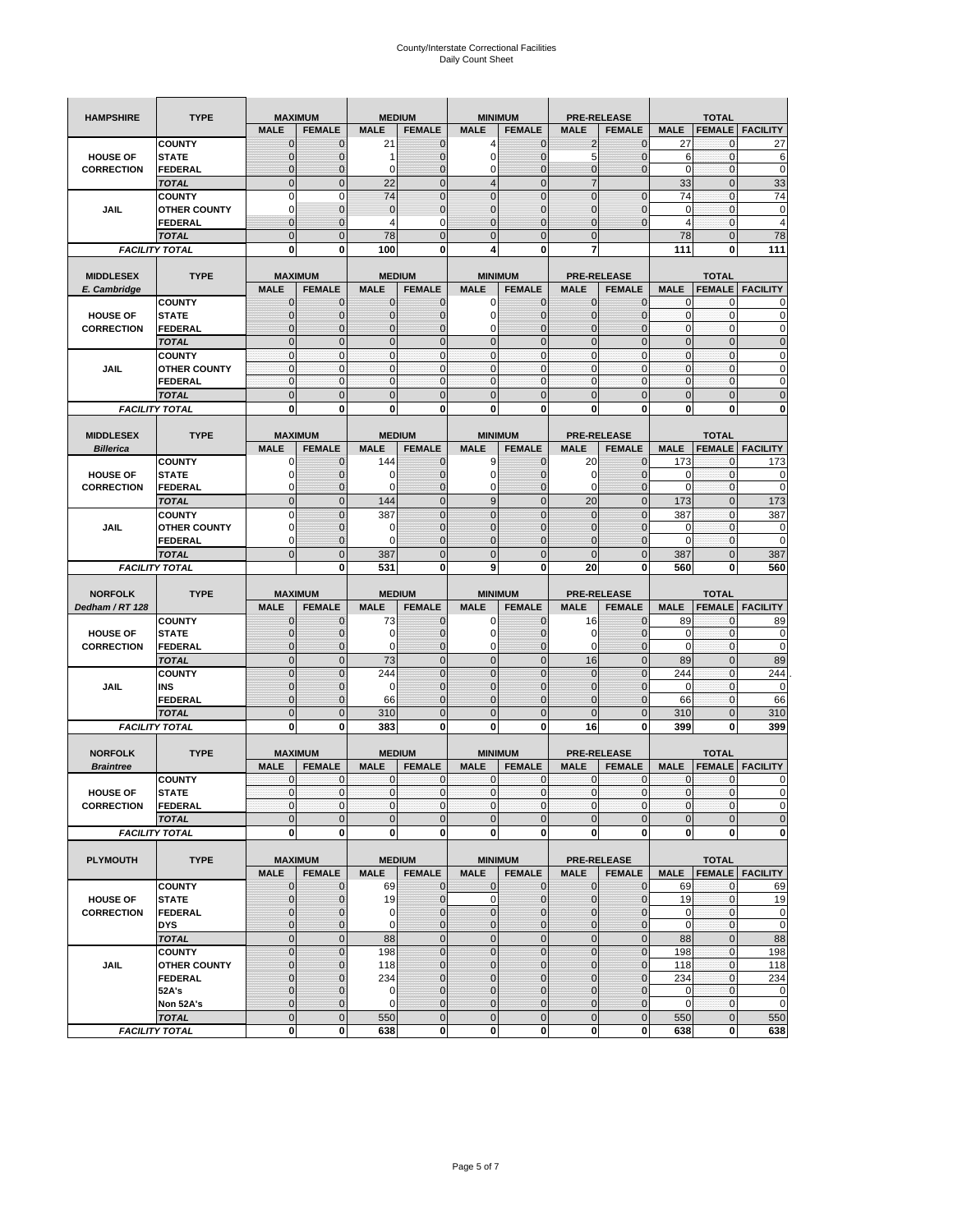| <b>HAMPSHIRE</b>                     | <b>TYPE</b>                           |                              | <b>MAXIMUM</b>                  |                            | <b>MEDIUM</b>                  |                            | <b>MINIMUM</b>                  |                            | <b>PRE-RELEASE</b>                  |                   | <b>TOTAL</b>                   |                        |
|--------------------------------------|---------------------------------------|------------------------------|---------------------------------|----------------------------|--------------------------------|----------------------------|---------------------------------|----------------------------|-------------------------------------|-------------------|--------------------------------|------------------------|
|                                      |                                       | <b>MALE</b>                  | <b>FEMALE</b>                   | <b>MALE</b>                | <b>FEMALE</b>                  | <b>MALE</b>                | <b>FEMALE</b>                   | <b>MALE</b>                | <b>FEMALE</b>                       | <b>MALE</b>       | <b>FEMALE</b>                  | <b>FACILITY</b>        |
|                                      | <b>COUNTY</b>                         | $\mathbf{0}$                 | $\mathbf 0$                     | 21                         | $\mathbf 0$                    | 4                          | $\mathbf{0}$                    | $\overline{2}$             | $\overline{0}$                      | 27                | 0                              | 27                     |
| <b>HOUSE OF</b>                      | <b>STATE</b>                          | $\mathbf{0}$                 | 0                               | 1                          | 0                              | 0                          | $\overline{0}$                  | 5                          | $\mathbf 0$                         | 6                 | $\mathbf 0$                    | 6                      |
| <b>CORRECTION</b>                    | FEDERAL                               | $\mathbf 0$                  | $\mathbf 0$                     | 0                          | $\overline{0}$                 | 0                          | $\overline{0}$                  | $\mathbf{0}$               | $\overline{0}$                      | $\mathbf 0$       | $\mathbf{0}$                   | 0                      |
|                                      | <b>TOTAL</b>                          | $\mathbf{0}$                 | $\overline{0}$                  | 22                         | $\mathbf 0$                    | $\overline{4}$             | $\overline{0}$                  | $\overline{7}$             |                                     | 33                | $\pmb{0}$                      | 33                     |
|                                      | <b>COUNTY</b>                         | $\mathbf 0$                  | $\mathbf 0$                     | 74                         | $\mathbf 0$                    | $\overline{0}$             | $\overline{0}$                  | $\mathbf 0$                | $\mathbf 0$                         | 74                | $\mathbf 0$                    | 74                     |
| <b>JAIL</b>                          | <b>OTHER COUNTY</b>                   | 0                            | $\mathbf 0$                     | $\mathbf 0$                | $\pmb{0}$                      | $\mathbf 0$                | $\mathbf 0$                     | 0                          | $\mathbf 0$                         | 0                 | $\mathbf{0}$                   | 0                      |
|                                      | <b>FEDERAL</b>                        | $\mathbf{0}$                 | $\mathbf 0$                     | 4                          | 0                              | $\overline{0}$             | $\mathbf{0}$                    | $\overline{0}$             | $\overline{0}$                      | $\overline{4}$    | $\mathbf{0}$                   | $\overline{4}$         |
|                                      | <b>TOTAL</b>                          | $\mathbf{0}$                 | $\mathbf 0$                     | 78                         | $\overline{0}$                 | $\overline{0}$             | $\overline{0}$                  | $\mathbf 0$                |                                     | 78                | $\mathbf 0$                    | 78                     |
|                                      | <b>FACILITY TOTAL</b>                 | 0                            | 0                               | 100                        | 0                              | 4                          | 0                               | 7                          |                                     | 111               | 0                              | 111                    |
|                                      | <b>TYPE</b>                           |                              |                                 |                            |                                |                            | <b>MINIMUM</b>                  |                            |                                     |                   | <b>TOTAL</b>                   |                        |
| <b>MIDDLESEX</b><br>E. Cambridge     |                                       | <b>MALE</b>                  | <b>MAXIMUM</b><br><b>FEMALE</b> | <b>MALE</b>                | <b>MEDIUM</b><br><b>FEMALE</b> | <b>MALE</b>                | <b>FEMALE</b>                   | <b>MALE</b>                | <b>PRE-RELEASE</b><br><b>FEMALE</b> | <b>MALE</b>       | <b>FEMALE</b>                  | <b>FACILITY</b>        |
|                                      | <b>COUNTY</b>                         | $\mathbf 0$                  | $\mathbf 0$                     | 0                          | 0                              | 0                          | $\mathbf 0$                     | 0                          | 0                                   | $\mathbf{0}$      | 0                              |                        |
| <b>HOUSE OF</b>                      | <b>STATE</b>                          | $\mathbf{0}$                 | 0                               | $\mathbf 0$                | 0                              | $\mathbf 0$                | $\overline{0}$                  | 0                          | $\overline{0}$                      | $\pmb{0}$         | $\mathbf 0$                    | 0                      |
| <b>CORRECTION</b>                    | <b>FEDERAL</b>                        | $\mathbf 0$                  | $\mathbf 0$                     | $\mathbf 0$                | $\mathbf 0$                    | $\mathbf 0$                | $\mathbf 0$                     | $\mathbf 0$                | $\overline{0}$                      | $\mathbf{0}$      | $\mathbf 0$                    | 0                      |
|                                      | <b>TOTAL</b>                          | $\mathbf{0}$                 | $\overline{0}$                  | $\overline{0}$             | $\mathbf{0}$                   | $\mathbf{0}$               | $\mathbf 0$                     | $\mathbf{0}$               | $\overline{0}$                      | $\pmb{0}$         | $\mathbf{0}$                   | $\mathbf 0$            |
|                                      | <b>COUNTY</b>                         | $\mathbf{0}$                 | $\mathbf 0$                     | $\mathbf 0$                | $\mathbf 0$                    | $\mathbf{0}$               | $\mathbf{0}$                    | $\mathbf{0}$               | $\mathbf 0$                         | $\bf 0$           | $\pmb{0}$                      | 0                      |
| JAIL                                 | <b>OTHER COUNTY</b>                   | $\mathbf{0}$                 | $\mathbf 0$                     | $\mathbf 0$                | $\mathbf 0$                    | $\mathbf{0}$               | $\Omega$                        | $\mathbf{0}$               | $\mathbf 0$                         | $\mathbf{0}$      | $\mathbf{0}$                   | 0                      |
|                                      | <b>FEDERAL</b>                        | $\mathbf{0}$                 | $\mathbf{0}$                    | $\mathbf{0}$               | $\mathbf{0}$                   | $\bf 0$                    | $\mathbf{0}$                    | $\pmb{0}$                  | $\mathbf 0$                         | $\mathbf{0}$      | $\pmb{0}$                      | 0                      |
|                                      | <b>TOTAL</b>                          | $\mathbf{0}$                 | $\overline{0}$                  | $\mathbf{0}$               | $\mathbf 0$                    | $\mathbf{0}$               | $\mathbf 0$                     | $\mathbf{0}$               | $\overline{0}$                      | $\mathbf 0$       | $\mathbf 0$                    | $\overline{0}$         |
|                                      | <b>FACILITY TOTAL</b>                 | 0                            | 0                               | $\mathbf 0$                | 0                              | 0                          | $\mathbf{0}$                    | $\bf{0}$                   | 0                                   | 0                 | 0                              | O                      |
|                                      | <b>TYPE</b>                           |                              |                                 |                            |                                |                            |                                 |                            |                                     |                   |                                |                        |
| <b>MIDDLESEX</b><br><b>Billerica</b> |                                       | <b>MALE</b>                  | <b>MAXIMUM</b><br><b>FEMALE</b> | <b>MALE</b>                | <b>MEDIUM</b><br><b>FEMALE</b> | <b>MALE</b>                | <b>MINIMUM</b><br><b>FEMALE</b> | <b>MALE</b>                | <b>PRE-RELEASE</b><br><b>FEMALE</b> | <b>MALE</b>       | <b>TOTAL</b><br><b>FEMALE</b>  | <b>FACILITY</b>        |
|                                      | <b>COUNTY</b>                         | 0                            | $\mathbf 0$                     | 144                        | $\mathbf{0}$                   | 9                          | $\mathbf{0}$                    | 20                         | $\overline{0}$                      | 173               | 0                              | 173                    |
| <b>HOUSE OF</b>                      | <b>STATE</b>                          | 0                            | $\overline{0}$                  | $\Omega$                   | $\mathbf{0}$                   | $\mathbf 0$                | $\mathbf{0}$                    | 0                          | $\overline{0}$                      | 0                 | $\mathbf 0$                    | 0                      |
| <b>CORRECTION</b>                    | <b>FEDERAL</b>                        | 0                            | $\mathbf 0$                     | 0                          | $\mathbf{0}$                   | 0                          | $\mathbf{0}$                    | $\mathbf 0$                | $\mathbf 0$                         | $\mathbf 0$       | $\pmb{0}$                      | 0                      |
|                                      | <b>TOTAL</b>                          | $\mathbf{0}$                 | $\overline{0}$                  | 144                        | $\mathbf{0}$                   | 9                          | $\mathbf{0}$                    | 20                         | $\overline{0}$                      | 173               | $\mathbf{0}$                   | 173                    |
|                                      | <b>COUNTY</b>                         | $\mathbf 0$                  | $\overline{0}$                  | 387                        | $\overline{0}$                 | $\overline{0}$             | $\overline{0}$                  | $\mathbf 0$                | $\overline{0}$                      | 387               | $\mathbf 0$                    | 387                    |
| <b>JAIL</b>                          | <b>OTHER COUNTY</b>                   | 0                            | 0                               | 0                          | 0                              | $\mathbf 0$                | $\overline{0}$                  | 0                          | $\mathbf 0$                         | 0                 | 0                              | 0                      |
|                                      | <b>FEDERAL</b>                        | 0                            | $\overline{0}$                  | $\Omega$                   | $\mathbf 0$                    | $\overline{0}$             | $\mathbf 0$                     | 0                          | $\mathbf 0$                         | $\mathbf 0$       | $\mathbf{0}$                   | 0                      |
|                                      | <b>TOTAL</b>                          | $\mathbf{0}$                 | $\mathbf 0$                     | 387                        | $\mathbf 0$                    | $\mathbf{0}$               | $\mathbf 0$                     | $\mathbf{0}$               | $\overline{0}$                      | 387               | $\mathbf 0$                    | 387                    |
|                                      | <b>FACILITY TOTAL</b>                 |                              | 0                               | 531                        | 0                              | 9                          | 0                               | 20                         | 0                                   | 560               | 0                              | 560                    |
|                                      |                                       |                              |                                 |                            |                                |                            |                                 |                            |                                     |                   |                                |                        |
|                                      |                                       |                              |                                 |                            |                                |                            |                                 |                            |                                     |                   |                                |                        |
| <b>NORFOLK</b>                       | <b>TYPE</b>                           |                              | <b>MAXIMUM</b>                  |                            | <b>MEDIUM</b>                  |                            | <b>MINIMUM</b>                  |                            | <b>PRE-RELEASE</b>                  |                   | <b>TOTAL</b>                   |                        |
| Dedham / RT 128                      |                                       | <b>MALE</b>                  | <b>FEMALE</b>                   | <b>MALE</b>                | <b>FEMALE</b>                  | <b>MALE</b>                | <b>FEMALE</b>                   | <b>MALE</b>                | <b>FEMALE</b>                       | <b>MALE</b>       | <b>FEMALE</b>                  | <b>FACILITY</b>        |
| <b>HOUSE OF</b>                      | <b>COUNTY</b><br><b>STATE</b>         | $\mathbf{0}$<br>$\mathbf{0}$ | $\mathbf 0$<br>$\overline{0}$   | 73<br>$\mathbf 0$          | $\mathbf{0}$<br>$\overline{0}$ | 0<br>$\mathbf 0$           | $\mathbf{0}$<br>$\mathbf{0}$    | 16<br>0                    | $\mathbf 0$<br>$\overline{0}$       | 89<br>0           | 0<br>$\mathbf 0$               | 89<br>0                |
| <b>CORRECTION</b>                    | <b>FEDERAL</b>                        | 0                            | 0                               | 0                          | 0                              | 0                          | $\overline{0}$                  | 0                          | 0                                   | $\mathbf 0$       | 0                              | 0                      |
|                                      | <b>TOTAL</b>                          | $\mathbf{0}$                 | $\mathbf 0$                     | 73                         | $\overline{0}$                 | $\mathbf 0$                | $\overline{0}$                  | 16                         | $\overline{0}$                      | 89                | $\mathbf{0}$                   | 89                     |
|                                      | <b>COUNTY</b>                         | $\mathbf{0}$                 | $\overline{0}$                  | 244                        | $\overline{0}$                 | $\overline{0}$             | $\overline{0}$                  | $\mathbf 0$                | $\overline{0}$                      | 244               | $\mathbf 0$                    | 244                    |
| <b>JAIL</b>                          | INS                                   | $\mathbf 0$                  | 0                               | 0                          | 0                              | $\mathbf{0}$               | $\overline{0}$                  | 0                          | $\mathbf 0$                         | 0                 | 0                              | $\mathbf 0$            |
|                                      | FEDERAL                               | $\mathbf{0}$                 | $\overline{0}$                  | 66                         | $\overline{0}$                 | $\overline{0}$             | $\overline{0}$                  | $\overline{0}$             | $\mathbf 0$                         | 66                | $\mathbf{0}$                   | 66                     |
|                                      | <b>TOTAL</b>                          | $\mathbf 0$                  | $\overline{0}$                  | 310                        | $\overline{0}$                 | $\overline{0}$             | $\overline{0}$                  | $\overline{0}$             | $\overline{0}$                      | 310               | $\overline{0}$                 | 310                    |
|                                      | <b>FACILITY TOTAL</b>                 | 0                            | 0                               | 383                        | 0                              | 0                          | $\mathbf 0$                     | 16                         | 0                                   | 399               | 0                              | 399                    |
|                                      |                                       |                              |                                 |                            |                                |                            |                                 |                            |                                     |                   |                                |                        |
| <b>NORFOLK</b>                       | <b>TYPE</b>                           |                              | <b>MAXIMUM</b>                  |                            | <b>MEDIUM</b>                  |                            | <b>MINIMUM</b>                  |                            | <b>PRE-RELEASE</b>                  |                   | <b>TOTAL</b>                   |                        |
| <b>Braintree</b>                     |                                       | <b>MALE</b>                  | <b>FEMALE</b><br>$\mathbf 0$    | <b>MALE</b><br>$\mathbf 0$ | <b>FEMALE</b>                  | <b>MALE</b>                | <b>FEMALE</b><br>$\mathbf{0}$   | <b>MALE</b>                | <b>FEMALE</b>                       | <b>MALE</b>       | <b>FEMALE</b>                  | <b>FACILITY</b><br>0   |
| <b>HOUSE OF</b>                      | <b>COUNTY</b><br><b>STATE</b>         | 0<br>$\mathbf{0}$            | $\mathbf{0}$                    | $\mathbf{O}$               | 0<br>$\mathbf{0}$              | 0<br>$\mathbf{0}$          | $\overline{0}$                  | 0<br>$\mathbf{0}$          | 0<br>$\overline{0}$                 | 0<br>$\mathbf{0}$ | 0<br>$\mathbf{0}$              | 0                      |
| <b>CORRECTION</b>                    | FEDERAL                               | $\mathbf 0$                  | 0                               | $\mathbf 0$                | $\mathbf 0$                    | $\mathbf 0$                | $\overline{0}$                  | 0                          | $\mathbf 0$                         | $\mathbf 0$       | $\mathbf 0$                    | 0                      |
|                                      | <b>TOTAL</b>                          | $\pmb{0}$                    | $\mathbf{0}$                    | $\mathbf 0$                | $\mathbf 0$                    | $\mathbf{0}$               | $\mathbf 0$                     | $\mathbf 0$                | $\pmb{0}$                           | $\mathbf 0$       | $\pmb{0}$                      | $\mathbf 0$            |
|                                      | <b>FACILITY TOTAL</b>                 | $\mathbf 0$                  | 0                               | $\mathbf{0}$               | 0                              | 0                          | <sub>0</sub>                    | $\mathbf 0$                | 0                                   | $\mathbf 0$       | $\mathbf 0$                    | $\mathbf{0}$           |
|                                      |                                       |                              |                                 |                            |                                |                            |                                 |                            |                                     |                   |                                |                        |
| <b>PLYMOUTH</b>                      | <b>TYPE</b>                           |                              | <b>MAXIMUM</b>                  |                            | <b>MEDIUM</b>                  |                            | <b>MINIMUM</b>                  |                            | <b>PRE-RELEASE</b>                  |                   | <b>TOTAL</b>                   |                        |
|                                      |                                       | <b>MALE</b>                  | <b>FEMALE</b>                   | <b>MALE</b>                | <b>FEMALE</b>                  | <b>MALE</b>                | <b>FEMALE</b>                   | <b>MALE</b>                | <b>FEMALE</b>                       | <b>MALE</b>       |                                | <b>FEMALE</b> FACILITY |
|                                      | <b>COUNTY</b>                         | $\mathbf{0}$                 | $\mathbf{0}$                    | 69                         | $\mathbf 0$                    | 0                          | $\mathbf{0}$                    | $\mathbf 0$                | $\mathbf{0}$                        | 69                | $\mathbf 0$                    | 69                     |
| <b>HOUSE OF</b>                      | <b>STATE</b>                          | $\mathbf 0$                  | $\mathbf 0$                     | 19                         | $\pmb{0}$                      | $\pmb{0}$                  | $\mathbf 0$                     | $\mathbf 0$                | $\overline{0}$                      | 19                | $\mathbf 0$                    | 19                     |
| <b>CORRECTION</b>                    | <b>FEDERAL</b>                        | $\mathbf{0}$                 | $\mathbf 0$                     | 0<br>$\mathbf 0$           | $\mathbf 0$                    | $\mathbf 0$                | $\mathbf{0}$<br>$\overline{0}$  | 0                          | $\overline{0}$<br>$\overline{0}$    | $\mathbf 0$       | $\mathbf 0$                    | $\mathbf 0$            |
|                                      | <b>DYS</b><br><b>TOTAL</b>            | $\pmb{0}$<br>$\mathbf 0$     | $\mathbf{0}$<br>$\mathbf 0$     | 88                         | $\pmb{0}$<br>$\mathbf 0$       | $\mathbf 0$<br>$\mathbf 0$ | $\mathbf 0$                     | $\mathbf 0$<br>$\mathbf 0$ | $\pmb{0}$                           | $\mathbf 0$<br>88 | $\overline{0}$<br>$\mathbf{0}$ | $\mathbf 0$            |
|                                      | <b>COUNTY</b>                         | $\pmb{0}$                    | $\mathbf 0$                     | 198                        | $\mathbf 0$                    | $\mathbf{0}$               | $\overline{0}$                  | $\mathbf 0$                | $\pmb{0}$                           | 198               | $\mathbf 0$                    | 88<br>198              |
| JAIL                                 | <b>OTHER COUNTY</b>                   | $\mathbf{0}$                 | $\mathbf{0}$                    | 118                        | $\pmb{0}$                      | $\mathbf 0$                | $\overline{0}$                  | 0                          | $\mathbf 0$                         | 118               | $\mathbf 0$                    | 118                    |
|                                      | <b>FEDERAL</b>                        | $\mathbf 0$                  | $\mathbf 0$                     | 234                        | 0                              | $\mathbf 0$                | $\mathbf 0$                     | $\mathbf 0$                | $\mathbf 0$                         | 234               | $\mathbf{0}$                   | 234                    |
|                                      | 52A's                                 | $\mathbf{0}$                 | $\mathbf 0$                     | 0                          | $\mathbf{0}$                   | $\mathbf 0$                | $\overline{0}$                  | $\mathbf 0$                | $\mathbf 0$                         | $\mathbf 0$       | $\mathbf{0}$                   | $\mathbf 0$            |
|                                      | Non 52A's                             | $\mathbf 0$                  | $\mathbf{0}$                    | 0                          | 0                              | $\mathbf 0$                | $\overline{0}$                  | $\mathbf 0$                | 0                                   | $\mathbf 0$       | $\mathbf 0$                    | $\mathbf 0$            |
|                                      | <b>TOTAL</b><br><b>FACILITY TOTAL</b> | $\mathbf{0}$<br>$\mathbf 0$  | $\mathbf 0$<br>0                | 550<br>638                 | $\overline{0}$<br>0            | $\mathbf 0$<br>0           | $\overline{0}$<br>0             | $\mathbf 0$<br>$\pmb{0}$   | $\pmb{0}$<br>0                      | 550<br>638        | $\mathbf 0$<br>$\mathbf 0$     | 550<br>638             |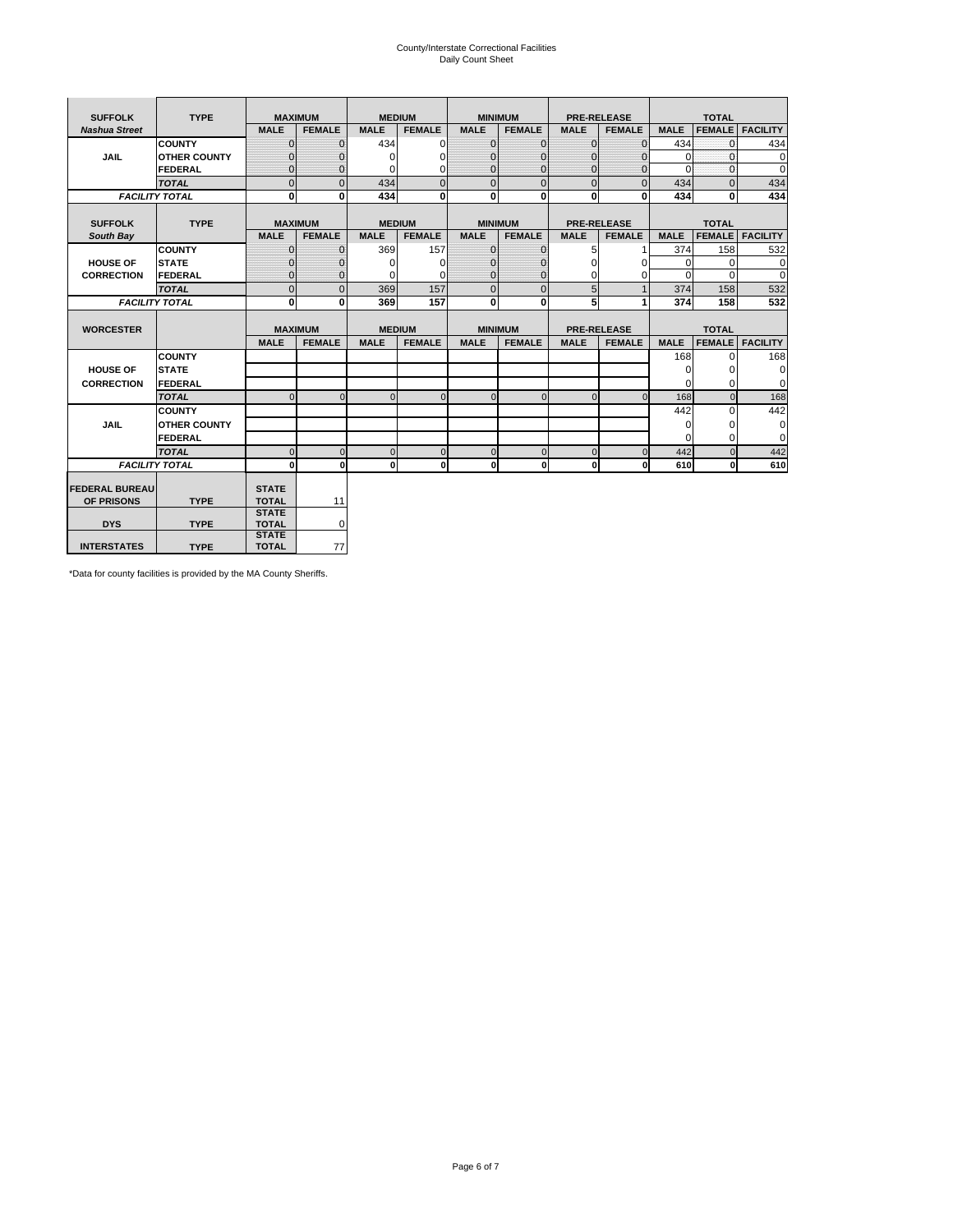# County/Interstate Correctional Facilities Daily Count Sheet

| <b>SUFFOLK</b>        | <b>TYPE</b>           |                              | <b>MAXIMUM</b> |               | <b>MEDIUM</b>  |              | <b>MINIMUM</b> |                | <b>PRE-RELEASE</b> |             | <b>TOTAL</b>  |                 |  |
|-----------------------|-----------------------|------------------------------|----------------|---------------|----------------|--------------|----------------|----------------|--------------------|-------------|---------------|-----------------|--|
| <b>Nashua Street</b>  |                       | <b>MALE</b>                  | <b>FEMALE</b>  | <b>MALE</b>   | <b>FEMALE</b>  | <b>MALE</b>  | <b>FEMALE</b>  | <b>MALE</b>    | <b>FEMALE</b>      | <b>MALE</b> | <b>FEMALE</b> | <b>FACILITY</b> |  |
|                       | <b>COUNTY</b>         | $\Omega$                     | $\mathbf{0}$   | 434           | 0              | $\mathbf{0}$ | $\Omega$       | $\mathbf{0}$   | $\Omega$           | 434         | $\Omega$      | 434             |  |
| JAIL                  | <b>OTHER COUNTY</b>   | $\Omega$                     | $\Omega$       | $\Omega$      | 0              | $\Omega$     | $\Omega$       | $\Omega$       | $\Omega$           | $\Omega$    | $\Omega$      | 0               |  |
|                       | FEDERAL               | $\mathbf{0}$                 | 0              | 0             | 0              | $\mathbf{0}$ | $\mathbf{0}$   | $\mathbf{0}$   | $\mathbf{0}$       | $\Omega$    | 0             | 0               |  |
|                       | <b>TOTAL</b>          | $\Omega$                     | $\Omega$       | 434           | $\Omega$       | $\Omega$     | $\Omega$       | $\Omega$       | $\Omega$           | 434         | $\Omega$      | 434             |  |
|                       | <b>FACILITY TOTAL</b> | 0                            | 0              | 434           | 0              | $\mathbf{0}$ | $\bf{0}$       | $\mathbf{0}$   | 0                  | 434         | 0             | 434             |  |
|                       |                       |                              |                |               |                |              |                |                |                    |             |               |                 |  |
| <b>SUFFOLK</b>        | <b>TYPE</b>           |                              | <b>MAXIMUM</b> | <b>MEDIUM</b> |                |              | <b>MINIMUM</b> |                | <b>PRE-RELEASE</b> |             | <b>TOTAL</b>  |                 |  |
| South Bay             |                       | <b>MALE</b>                  | <b>FEMALE</b>  | <b>MALE</b>   | <b>FEMALE</b>  | <b>MALE</b>  | <b>FEMALE</b>  | <b>MALE</b>    | <b>FEMALE</b>      | <b>MALE</b> | <b>FEMALE</b> | <b>FACILITY</b> |  |
|                       | <b>COUNTY</b>         | $\mathbf{0}$                 | $\mathbf{0}$   | 369           | 157            | $\mathbf{0}$ | $\mathbf{0}$   | 5              |                    | 374         | 158           | 532             |  |
| <b>HOUSE OF</b>       | <b>STATE</b>          |                              | 0              | $\Omega$      | 0              | $\Omega$     | $\Omega$       | $\Omega$       | $\Omega$           | $\Omega$    | $\Omega$      | 0               |  |
| <b>CORRECTION</b>     | FEDERAL               | $\Omega$                     | $\mathbf{0}$   | O             | 0              | $\mathbf{0}$ | $\Omega$       | $\Omega$       | 0                  | $\Omega$    | $\Omega$      | $\Omega$        |  |
|                       | <b>TOTAL</b>          | $\Omega$                     | $\overline{0}$ | 369           | 157            | $\mathbf{0}$ | $\mathbf{0}$   | 5              | $\mathbf{1}$       | 374         | 158           | 532             |  |
|                       | <b>FACILITY TOTAL</b> | $\bf{0}$                     | 0              | 369           | 157            | $\mathbf{0}$ | $\bf{0}$       | 5              | 1                  | 374         | 158           | 532             |  |
|                       |                       |                              |                |               |                |              |                |                |                    |             |               |                 |  |
| <b>WORCESTER</b>      |                       |                              | <b>MAXIMUM</b> | <b>MEDIUM</b> |                |              | <b>MINIMUM</b> |                | <b>PRE-RELEASE</b> |             | <b>TOTAL</b>  |                 |  |
|                       |                       | <b>MALE</b>                  | <b>FEMALE</b>  | <b>MALE</b>   | <b>FEMALE</b>  | <b>MALE</b>  | <b>FEMALE</b>  | <b>MALE</b>    | <b>FEMALE</b>      | <b>MALE</b> | <b>FEMALE</b> | <b>FACILITY</b> |  |
|                       | <b>COUNTY</b>         |                              |                |               |                |              |                |                |                    | 168         | $\Omega$      | 168             |  |
| <b>HOUSE OF</b>       | <b>STATE</b>          |                              |                |               |                |              |                |                |                    | 0           | O             | 0               |  |
| <b>CORRECTION</b>     | FEDERAL               |                              |                |               |                |              |                |                |                    | $\Omega$    | $\Omega$      | 0               |  |
|                       | <b>TOTAL</b>          | $\Omega$                     | $\mathbf 0$    | $\Omega$      | $\overline{0}$ | $\mathbf{0}$ | $\mathbf{0}$   | $\overline{0}$ | $\Omega$           | 168         | 0             | 168             |  |
|                       | <b>COUNTY</b>         |                              |                |               |                |              |                |                |                    | 442         | $\Omega$      | 442             |  |
| <b>JAIL</b>           | <b>OTHER COUNTY</b>   |                              |                |               |                |              |                |                |                    | $\Omega$    | $\Omega$      | 0               |  |
|                       | FEDERAL               |                              |                |               |                |              |                |                |                    | $\Omega$    | $\Omega$      | $\mathbf 0$     |  |
|                       | <b>TOTAL</b>          | $\Omega$                     | $\Omega$       | $\Omega$      | $\mathbf 0$    | $\mathbf{0}$ | $\mathbf 0$    | $\Omega$       | $\Omega$           | 442         | $\Omega$      | 442             |  |
|                       | <b>FACILITY TOTAL</b> | $\bf{0}$                     | $\mathbf{0}$   | $\Omega$      | $\mathbf{0}$   | $\mathbf 0$  | $\bf{0}$       | $\mathbf 0$    | 0                  | 610         | O             | 610             |  |
|                       |                       |                              |                |               |                |              |                |                |                    |             |               |                 |  |
| <b>FEDERAL BUREAU</b> |                       | <b>STATE</b>                 |                |               |                |              |                |                |                    |             |               |                 |  |
| OF PRISONS            | <b>TYPE</b>           | <b>TOTAL</b><br><b>STATE</b> | 11             |               |                |              |                |                |                    |             |               |                 |  |
| <b>DYS</b>            | <b>TYPE</b>           | <b>TOTAL</b>                 | 0              |               |                |              |                |                |                    |             |               |                 |  |
|                       |                       | <b>STATE</b>                 |                |               |                |              |                |                |                    |             |               |                 |  |
| <b>INTERSTATES</b>    | <b>TYPE</b>           | <b>TOTAL</b>                 | 77             |               |                |              |                |                |                    |             |               |                 |  |

\*Data for county facilities is provided by the MA County Sheriffs.